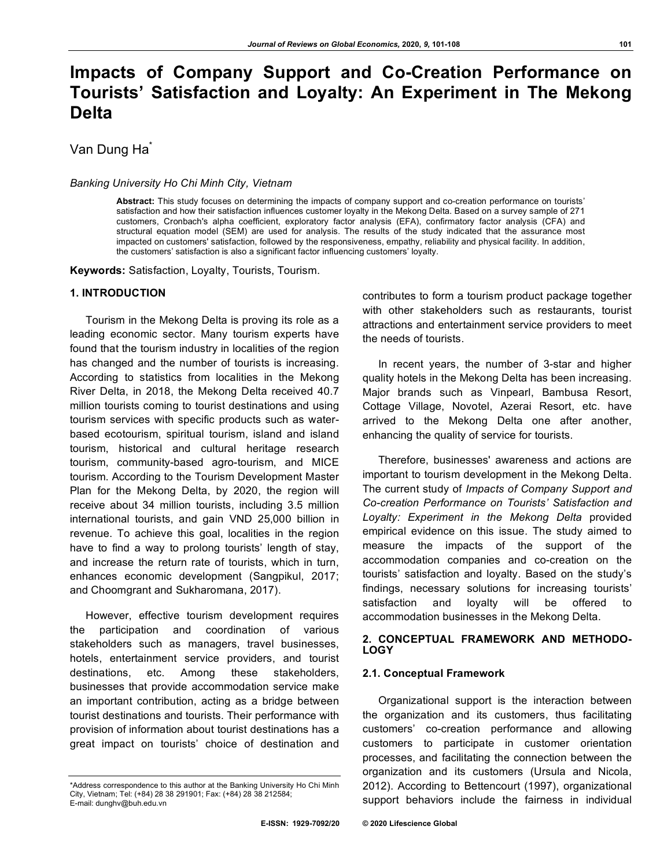# **Impacts of Company Support and Co-Creation Performance on Tourists' Satisfaction and Loyalty: An Experiment in The Mekong Delta**

Van Dung Ha<sup>\*</sup>

#### *Banking University Ho Chi Minh City, Vietnam*

**Abstract:** This study focuses on determining the impacts of company support and co-creation performance on tourists' satisfaction and how their satisfaction influences customer loyalty in the Mekong Delta. Based on a survey sample of 271 customers, Cronbach's alpha coefficient, exploratory factor analysis (EFA), confirmatory factor analysis (CFA) and structural equation model (SEM) are used for analysis. The results of the study indicated that the assurance most impacted on customers' satisfaction, followed by the responsiveness, empathy, reliability and physical facility. In addition, the customers' satisfaction is also a significant factor influencing customers' loyalty.

**Keywords:** Satisfaction, Loyalty, Tourists, Tourism.

#### **1. INTRODUCTION**

Tourism in the Mekong Delta is proving its role as a leading economic sector. Many tourism experts have found that the tourism industry in localities of the region has changed and the number of tourists is increasing. According to statistics from localities in the Mekong River Delta, in 2018, the Mekong Delta received 40.7 million tourists coming to tourist destinations and using tourism services with specific products such as waterbased ecotourism, spiritual tourism, island and island tourism, historical and cultural heritage research tourism, community-based agro-tourism, and MICE tourism. According to the Tourism Development Master Plan for the Mekong Delta, by 2020, the region will receive about 34 million tourists, including 3.5 million international tourists, and gain VND 25,000 billion in revenue. To achieve this goal, localities in the region have to find a way to prolong tourists' length of stay, and increase the return rate of tourists, which in turn, enhances economic development (Sangpikul, 2017; and Choomgrant and Sukharomana, 2017).

However, effective tourism development requires the participation and coordination of various stakeholders such as managers, travel businesses, hotels, entertainment service providers, and tourist destinations, etc. Among these stakeholders, businesses that provide accommodation service make an important contribution, acting as a bridge between tourist destinations and tourists. Their performance with provision of information about tourist destinations has a great impact on tourists' choice of destination and

contributes to form a tourism product package together with other stakeholders such as restaurants, tourist attractions and entertainment service providers to meet the needs of tourists.

In recent years, the number of 3-star and higher quality hotels in the Mekong Delta has been increasing. Major brands such as Vinpearl, Bambusa Resort, Cottage Village, Novotel, Azerai Resort, etc. have arrived to the Mekong Delta one after another, enhancing the quality of service for tourists.

Therefore, businesses' awareness and actions are important to tourism development in the Mekong Delta. The current study of *Impacts of Company Support and Co-creation Performance on Tourists' Satisfaction and Loyalty: Experiment in the Mekong Delta* provided empirical evidence on this issue. The study aimed to measure the impacts of the support of the accommodation companies and co-creation on the tourists' satisfaction and loyalty. Based on the study's findings, necessary solutions for increasing tourists' satisfaction and loyalty will be offered to accommodation businesses in the Mekong Delta.

#### **2. CONCEPTUAL FRAMEWORK AND METHODO-LOGY**

## **2.1. Conceptual Framework**

Organizational support is the interaction between the organization and its customers, thus facilitating customers' co-creation performance and allowing customers to participate in customer orientation processes, and facilitating the connection between the organization and its customers (Ursula and Nicola, 2012). According to Bettencourt (1997), organizational support behaviors include the fairness in individual

<sup>\*</sup>Address correspondence to this author at the Banking University Ho Chi Minh City, Vietnam; Tel: (+84) 28 38 291901; Fax: (+84) 28 38 212584; E-mail: dunghv@buh.edu.vn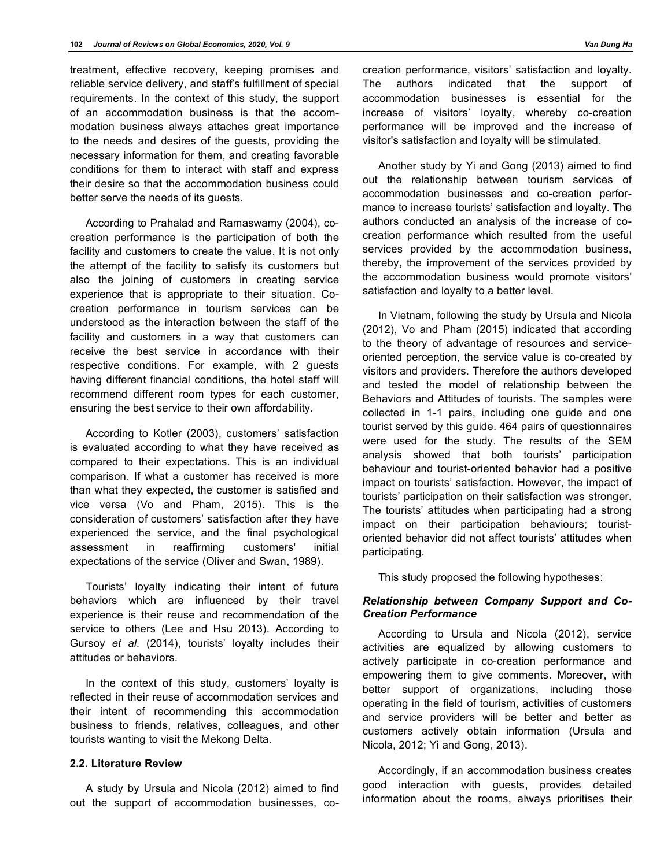treatment, effective recovery, keeping promises and reliable service delivery, and staff's fulfillment of special requirements. In the context of this study, the support of an accommodation business is that the accommodation business always attaches great importance to the needs and desires of the guests, providing the necessary information for them, and creating favorable conditions for them to interact with staff and express their desire so that the accommodation business could better serve the needs of its guests.

According to Prahalad and Ramaswamy (2004), cocreation performance is the participation of both the facility and customers to create the value. It is not only the attempt of the facility to satisfy its customers but also the joining of customers in creating service experience that is appropriate to their situation. Cocreation performance in tourism services can be understood as the interaction between the staff of the facility and customers in a way that customers can receive the best service in accordance with their respective conditions. For example, with 2 guests having different financial conditions, the hotel staff will recommend different room types for each customer, ensuring the best service to their own affordability.

According to Kotler (2003), customers' satisfaction is evaluated according to what they have received as compared to their expectations. This is an individual comparison. If what a customer has received is more than what they expected, the customer is satisfied and vice versa (Vo and Pham, 2015). This is the consideration of customers' satisfaction after they have experienced the service, and the final psychological assessment in reaffirming customers' initial expectations of the service (Oliver and Swan, 1989).

Tourists' loyalty indicating their intent of future behaviors which are influenced by their travel experience is their reuse and recommendation of the service to others (Lee and Hsu 2013). According to Gursoy *et al*. (2014), tourists' loyalty includes their attitudes or behaviors.

In the context of this study, customers' loyalty is reflected in their reuse of accommodation services and their intent of recommending this accommodation business to friends, relatives, colleagues, and other tourists wanting to visit the Mekong Delta.

#### **2.2. Literature Review**

A study by Ursula and Nicola (2012) aimed to find out the support of accommodation businesses, cocreation performance, visitors' satisfaction and loyalty. The authors indicated that the support of accommodation businesses is essential for the increase of visitors' loyalty, whereby co-creation performance will be improved and the increase of visitor's satisfaction and loyalty will be stimulated.

Another study by Yi and Gong (2013) aimed to find out the relationship between tourism services of accommodation businesses and co-creation performance to increase tourists' satisfaction and loyalty. The authors conducted an analysis of the increase of cocreation performance which resulted from the useful services provided by the accommodation business, thereby, the improvement of the services provided by the accommodation business would promote visitors' satisfaction and loyalty to a better level.

In Vietnam, following the study by Ursula and Nicola (2012), Vo and Pham (2015) indicated that according to the theory of advantage of resources and serviceoriented perception, the service value is co-created by visitors and providers. Therefore the authors developed and tested the model of relationship between the Behaviors and Attitudes of tourists. The samples were collected in 1-1 pairs, including one guide and one tourist served by this guide. 464 pairs of questionnaires were used for the study. The results of the SEM analysis showed that both tourists' participation behaviour and tourist-oriented behavior had a positive impact on tourists' satisfaction. However, the impact of tourists' participation on their satisfaction was stronger. The tourists' attitudes when participating had a strong impact on their participation behaviours; touristoriented behavior did not affect tourists' attitudes when participating.

This study proposed the following hypotheses:

## *Relationship between Company Support and Co-Creation Performance*

According to Ursula and Nicola (2012), service activities are equalized by allowing customers to actively participate in co-creation performance and empowering them to give comments. Moreover, with better support of organizations, including those operating in the field of tourism, activities of customers and service providers will be better and better as customers actively obtain information (Ursula and Nicola, 2012; Yi and Gong, 2013).

Accordingly, if an accommodation business creates good interaction with guests, provides detailed information about the rooms, always prioritises their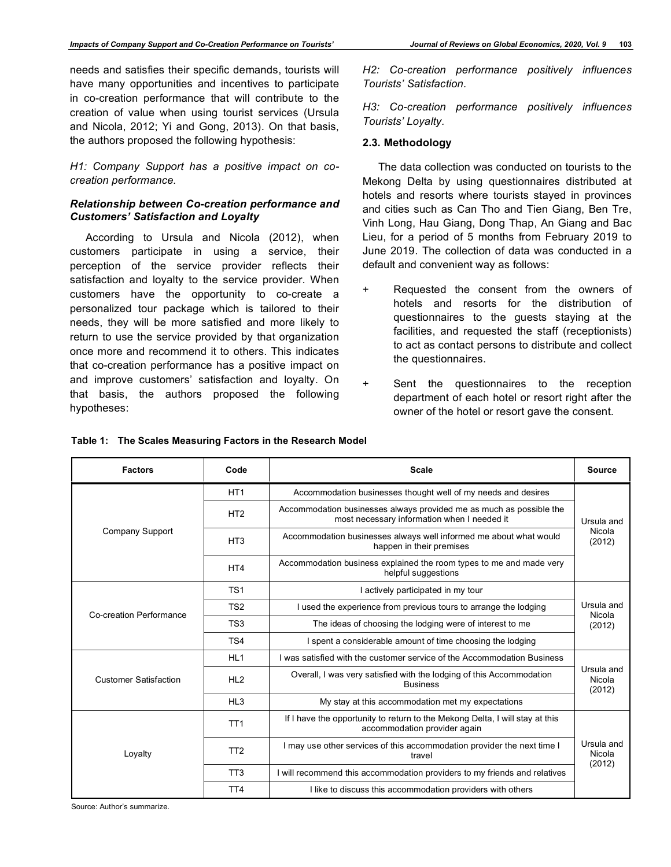needs and satisfies their specific demands, tourists will have many opportunities and incentives to participate in co-creation performance that will contribute to the creation of value when using tourist services (Ursula and Nicola, 2012; Yi and Gong, 2013). On that basis, the authors proposed the following hypothesis:

*H1: Company Support has a positive impact on cocreation performance.*

# *Relationship between Co-creation performance and Customers' Satisfaction and Loyalty*

According to Ursula and Nicola (2012), when customers participate in using a service, their perception of the service provider reflects their satisfaction and loyalty to the service provider. When customers have the opportunity to co-create a personalized tour package which is tailored to their needs, they will be more satisfied and more likely to return to use the service provided by that organization once more and recommend it to others. This indicates that co-creation performance has a positive impact on and improve customers' satisfaction and loyalty. On that basis, the authors proposed the following hypotheses:

*H2: Co-creation performance positively influences Tourists' Satisfaction.*

*H3: Co-creation performance positively influences Tourists' Loyalty.*

## **2.3. Methodology**

The data collection was conducted on tourists to the Mekong Delta by using questionnaires distributed at hotels and resorts where tourists stayed in provinces and cities such as Can Tho and Tien Giang, Ben Tre, Vinh Long, Hau Giang, Dong Thap, An Giang and Bac Lieu, for a period of 5 months from February 2019 to June 2019. The collection of data was conducted in a default and convenient way as follows:

- + Requested the consent from the owners of hotels and resorts for the distribution of questionnaires to the guests staying at the facilities, and requested the staff (receptionists) to act as contact persons to distribute and collect the questionnaires.
- + Sent the questionnaires to the reception department of each hotel or resort right after the owner of the hotel or resort gave the consent.

| <b>Factors</b>               | Code            | <b>Scale</b>                                                                                                       |                                |  |
|------------------------------|-----------------|--------------------------------------------------------------------------------------------------------------------|--------------------------------|--|
|                              | HT <sub>1</sub> | Accommodation businesses thought well of my needs and desires                                                      |                                |  |
|                              | HT <sub>2</sub> | Accommodation businesses always provided me as much as possible the<br>most necessary information when I needed it | Ursula and                     |  |
| Company Support              | HT <sub>3</sub> | Accommodation businesses always well informed me about what would<br>happen in their premises                      | Nicola<br>(2012)               |  |
|                              | HT4             | Accommodation business explained the room types to me and made very<br>helpful suggestions                         |                                |  |
|                              | TS <sub>1</sub> | I actively participated in my tour                                                                                 |                                |  |
| Co-creation Performance      | TS <sub>2</sub> | I used the experience from previous tours to arrange the lodging                                                   | Ursula and<br>Nicola<br>(2012) |  |
|                              | TS <sub>3</sub> | The ideas of choosing the lodging were of interest to me                                                           |                                |  |
|                              | TS <sub>4</sub> | I spent a considerable amount of time choosing the lodging                                                         |                                |  |
|                              | HL <sub>1</sub> | I was satisfied with the customer service of the Accommodation Business                                            |                                |  |
| <b>Customer Satisfaction</b> | HL2             | Overall, I was very satisfied with the lodging of this Accommodation<br><b>Business</b>                            | Ursula and<br>Nicola<br>(2012) |  |
|                              | HL <sub>3</sub> | My stay at this accommodation met my expectations                                                                  |                                |  |
| Loyalty                      | TT <sub>1</sub> | If I have the opportunity to return to the Mekong Delta, I will stay at this<br>accommodation provider again       |                                |  |
|                              | TT <sub>2</sub> | I may use other services of this accommodation provider the next time I<br>travel                                  | Ursula and<br>Nicola           |  |
|                              | TT <sub>3</sub> | I will recommend this accommodation providers to my friends and relatives                                          | (2012)                         |  |
|                              | TT <sub>4</sub> | I like to discuss this accommodation providers with others                                                         |                                |  |

**Table 1: The Scales Measuring Factors in the Research Model**

Source: Author's summarize.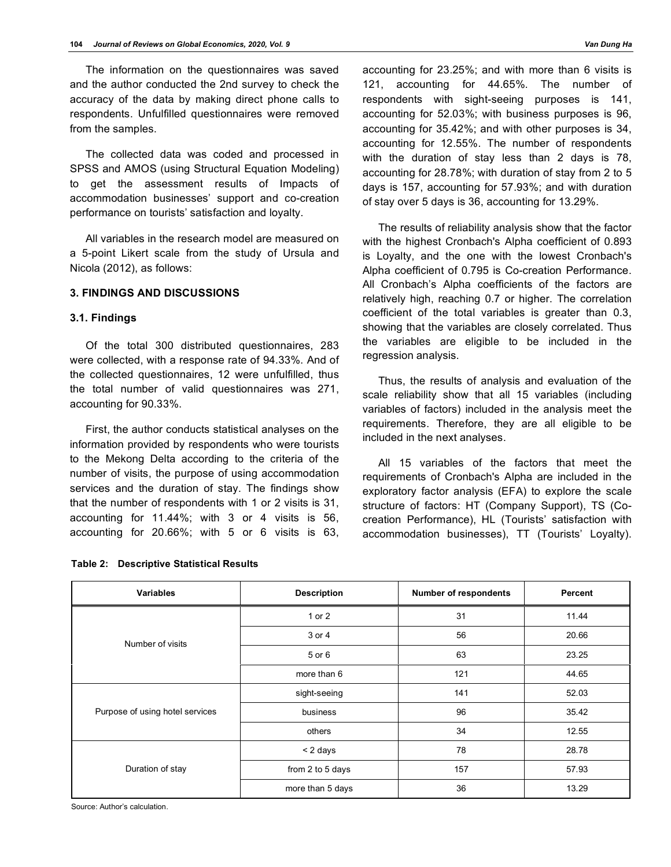The information on the questionnaires was saved and the author conducted the 2nd survey to check the accuracy of the data by making direct phone calls to respondents. Unfulfilled questionnaires were removed from the samples.

The collected data was coded and processed in SPSS and AMOS (using Structural Equation Modeling) to get the assessment results of Impacts of accommodation businesses' support and co-creation performance on tourists' satisfaction and loyalty.

All variables in the research model are measured on a 5-point Likert scale from the study of Ursula and Nicola (2012), as follows:

#### **3. FINDINGS AND DISCUSSIONS**

## **3.1. Findings**

Of the total 300 distributed questionnaires, 283 were collected, with a response rate of 94.33%. And of the collected questionnaires, 12 were unfulfilled, thus the total number of valid questionnaires was 271, accounting for 90.33%.

First, the author conducts statistical analyses on the information provided by respondents who were tourists to the Mekong Delta according to the criteria of the number of visits, the purpose of using accommodation services and the duration of stay. The findings show that the number of respondents with 1 or 2 visits is 31, accounting for 11.44%; with 3 or 4 visits is 56, accounting for 20.66%; with 5 or 6 visits is 63, accounting for 23.25%; and with more than 6 visits is 121, accounting for 44.65%. The number of respondents with sight-seeing purposes is 141, accounting for 52.03%; with business purposes is 96, accounting for 35.42%; and with other purposes is 34, accounting for 12.55%. The number of respondents with the duration of stay less than 2 days is 78, accounting for 28.78%; with duration of stay from 2 to 5 days is 157, accounting for 57.93%; and with duration of stay over 5 days is 36, accounting for 13.29%.

The results of reliability analysis show that the factor with the highest Cronbach's Alpha coefficient of 0.893 is Loyalty, and the one with the lowest Cronbach's Alpha coefficient of 0.795 is Co-creation Performance. All Cronbach's Alpha coefficients of the factors are relatively high, reaching 0.7 or higher. The correlation coefficient of the total variables is greater than 0.3, showing that the variables are closely correlated. Thus the variables are eligible to be included in the regression analysis.

Thus, the results of analysis and evaluation of the scale reliability show that all 15 variables (including variables of factors) included in the analysis meet the requirements. Therefore, they are all eligible to be included in the next analyses.

All 15 variables of the factors that meet the requirements of Cronbach's Alpha are included in the exploratory factor analysis (EFA) to explore the scale structure of factors: HT (Company Support), TS (Cocreation Performance), HL (Tourists' satisfaction with accommodation businesses), TT (Tourists' Loyalty).

| <b>Variables</b>                | <b>Description</b> | <b>Number of respondents</b> | Percent |
|---------------------------------|--------------------|------------------------------|---------|
|                                 | 1 or 2             | 31                           | 11.44   |
| Number of visits                | 3 or 4             | 56                           | 20.66   |
|                                 | 5 or 6             | 63                           | 23.25   |
|                                 | more than 6        | 121                          | 44.65   |
|                                 | sight-seeing       | 141                          | 52.03   |
| Purpose of using hotel services | business           | 96                           | 35.42   |
|                                 | others             | 34                           | 12.55   |
|                                 | < 2 days           | 78                           | 28.78   |
| Duration of stay                | from 2 to 5 days   | 157                          | 57.93   |
|                                 | more than 5 days   | 36                           | 13.29   |

#### **Table 2: Descriptive Statistical Results**

Source: Author's calculation.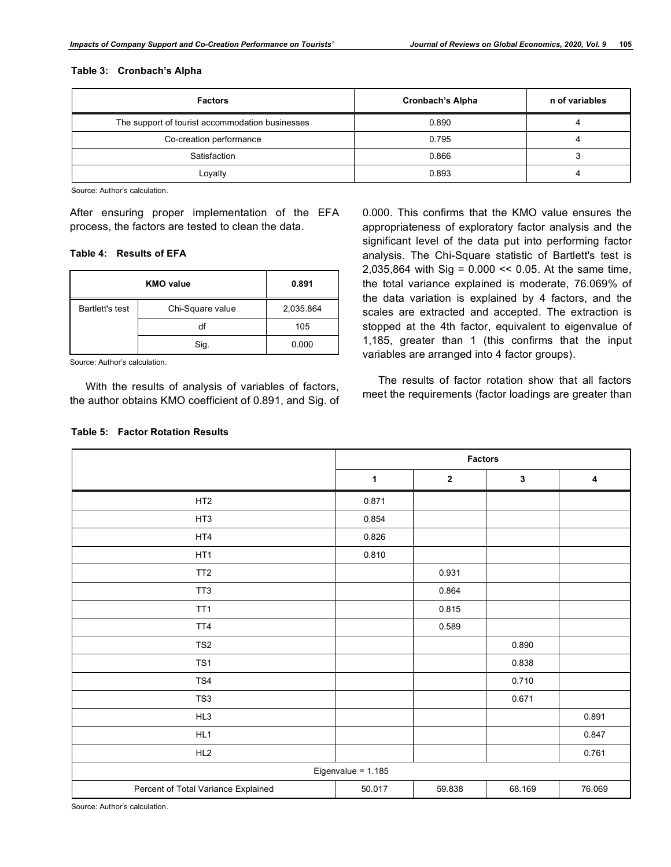#### **Table 3: Cronbach's Alpha**

| <b>Factors</b>                                  | <b>Cronbach's Alpha</b> | n of variables |
|-------------------------------------------------|-------------------------|----------------|
| The support of tourist accommodation businesses | 0.890                   |                |
| Co-creation performance                         | 0.795                   |                |
| Satisfaction                                    | 0.866                   |                |
| ∟oyalty                                         | 0.893                   |                |

Source: Author's calculation.

After ensuring proper implementation of the EFA process, the factors are tested to clean the data.

#### **Table 4: Results of EFA**

|                 | 0.891            |           |
|-----------------|------------------|-----------|
| Bartlett's test | Chi-Square value | 2,035.864 |
|                 | df               | 105       |
|                 | Sig.             | 0.000     |

Source: Author's calculation.

With the results of analysis of variables of factors, the author obtains KMO coefficient of 0.891, and Sig. of

#### **Table 5: Factor Rotation Results**

0.000. This confirms that the KMO value ensures the appropriateness of exploratory factor analysis and the significant level of the data put into performing factor analysis. The Chi-Square statistic of Bartlett's test is 2,035,864 with Sig = 0.000 << 0.05. At the same time, the total variance explained is moderate, 76.069% of the data variation is explained by 4 factors, and the scales are extracted and accepted. The extraction is stopped at the 4th factor, equivalent to eigenvalue of 1,185, greater than 1 (this confirms that the input variables are arranged into 4 factor groups).

The results of factor rotation show that all factors meet the requirements (factor loadings are greater than

|                                     | <b>Factors</b>       |                  |        |        |
|-------------------------------------|----------------------|------------------|--------|--------|
|                                     | 1                    | $\boldsymbol{2}$ | 3      | 4      |
| HT <sub>2</sub>                     | 0.871                |                  |        |        |
| HT3                                 | 0.854                |                  |        |        |
| HT4                                 | 0.826                |                  |        |        |
| HT <sub>1</sub>                     | 0.810                |                  |        |        |
| TT <sub>2</sub>                     |                      | 0.931            |        |        |
| TT <sub>3</sub>                     |                      | 0.864            |        |        |
| TT <sub>1</sub>                     |                      | 0.815            |        |        |
| TT4                                 |                      | 0.589            |        |        |
| TS <sub>2</sub>                     |                      |                  | 0.890  |        |
| TS1                                 |                      |                  | 0.838  |        |
| TS4                                 |                      |                  | 0.710  |        |
| TS3                                 |                      |                  | 0.671  |        |
| HL3                                 |                      |                  |        | 0.891  |
| HL1                                 |                      |                  |        | 0.847  |
| HL2                                 |                      |                  |        | 0.761  |
|                                     | Eigenvalue = $1.185$ |                  |        |        |
| Percent of Total Variance Explained | 50.017               | 59.838           | 68.169 | 76.069 |

Source: Author's calculation.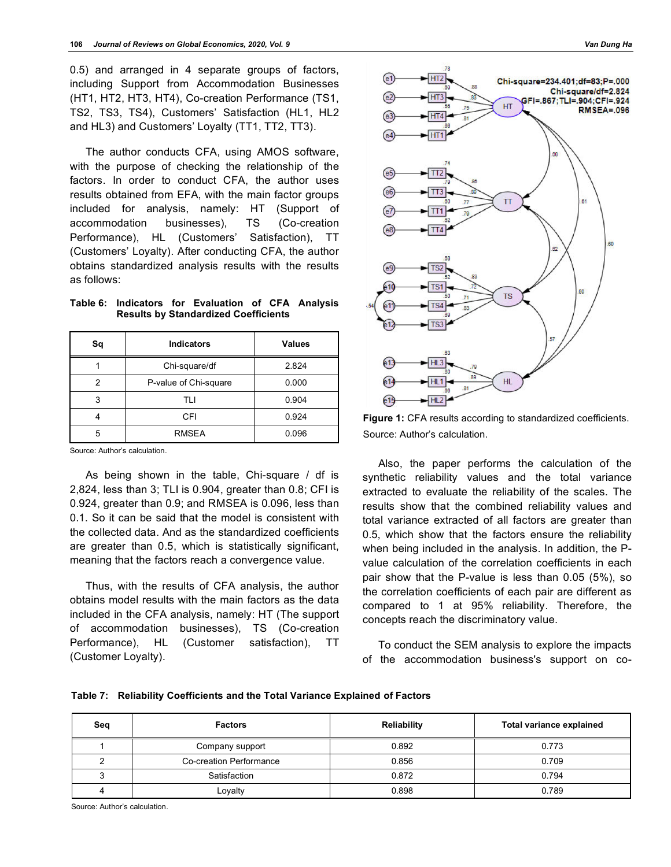0.5) and arranged in 4 separate groups of factors, including Support from Accommodation Businesses (HT1, HT2, HT3, HT4), Co-creation Performance (TS1, TS2, TS3, TS4), Customers' Satisfaction (HL1, HL2 and HL3) and Customers' Loyalty (TT1, TT2, TT3).

The author conducts CFA, using AMOS software, with the purpose of checking the relationship of the factors. In order to conduct CFA, the author uses results obtained from EFA, with the main factor groups included for analysis, namely: HT (Support of accommodation businesses), TS (Co-creation Performance), HL (Customers' Satisfaction), TT (Customers' Loyalty). After conducting CFA, the author obtains standardized analysis results with the results as follows:

**Table 6: Indicators for Evaluation of CFA Analysis Results by Standardized Coefficients**

| Sq | <b>Indicators</b>     | <b>Values</b> |
|----|-----------------------|---------------|
|    | Chi-square/df         | 2.824         |
| 2  | P-value of Chi-square | 0.000         |
| 3  | TLI                   | 0.904         |
|    | CFI                   | 0.924         |
| 5  | <b>RMSEA</b>          | 0.096         |

Source: Author's calculation.

As being shown in the table, Chi-square / df is 2,824, less than 3; TLI is 0.904, greater than 0.8; CFI is 0.924, greater than 0.9; and RMSEA is 0.096, less than 0.1. So it can be said that the model is consistent with the collected data. And as the standardized coefficients are greater than 0.5, which is statistically significant, meaning that the factors reach a convergence value.

Thus, with the results of CFA analysis, the author obtains model results with the main factors as the data included in the CFA analysis, namely: HT (The support of accommodation businesses), TS (Co-creation Performance), HL (Customer satisfaction), TT (Customer Loyalty).



**Figure 1:** CFA results according to standardized coefficients. Source: Author's calculation.

Also, the paper performs the calculation of the synthetic reliability values and the total variance extracted to evaluate the reliability of the scales. The results show that the combined reliability values and total variance extracted of all factors are greater than 0.5, which show that the factors ensure the reliability when being included in the analysis. In addition, the Pvalue calculation of the correlation coefficients in each pair show that the P-value is less than 0.05 (5%), so the correlation coefficients of each pair are different as compared to 1 at 95% reliability. Therefore, the concepts reach the discriminatory value.

To conduct the SEM analysis to explore the impacts of the accommodation business's support on co-

|  |  | Table 7:    Reliability Coefficients and the Total Variance Explained of Factors |  |  |  |  |  |
|--|--|----------------------------------------------------------------------------------|--|--|--|--|--|
|--|--|----------------------------------------------------------------------------------|--|--|--|--|--|

| Seq | <b>Factors</b>          | Reliability | Total variance explained |
|-----|-------------------------|-------------|--------------------------|
|     | Company support         | 0.892       | 0.773                    |
|     | Co-creation Performance | 0.856       | 0.709                    |
|     | Satisfaction            | 0.872       | 0.794                    |
|     | Loyalty                 | 0.898       | 0.789                    |

Source: Author's calculation.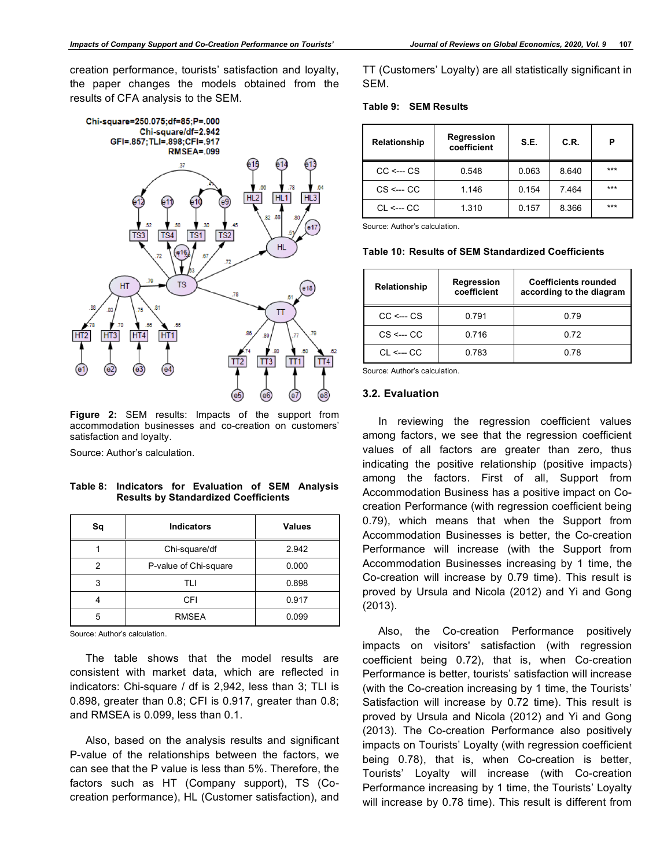creation performance, tourists' satisfaction and loyalty, the paper changes the models obtained from the results of CFA analysis to the SEM.



**Figure 2:** SEM results: Impacts of the support from accommodation businesses and co-creation on customers' satisfaction and loyalty.

Source: Author's calculation.

**Table 8: Indicators for Evaluation of SEM Analysis Results by Standardized Coefficients**

| Sq | <b>Indicators</b>     | <b>Values</b> |
|----|-----------------------|---------------|
|    | Chi-square/df         | 2.942         |
| 2  | P-value of Chi-square | 0.000         |
| 3  | TI I                  | 0.898         |
|    | CFI                   | 0.917         |
| 5  | <b>RMSEA</b>          | 0.099         |

Source: Author's calculation.

The table shows that the model results are consistent with market data, which are reflected in indicators: Chi-square / df is 2,942, less than 3; TLI is 0.898, greater than 0.8; CFI is 0.917, greater than 0.8; and RMSEA is 0.099, less than 0.1.

Also, based on the analysis results and significant P-value of the relationships between the factors, we can see that the P value is less than 5%. Therefore, the factors such as HT (Company support), TS (Cocreation performance), HL (Customer satisfaction), and

TT (Customers' Loyalty) are all statistically significant in SEM.

**Table 9: SEM Results**

| Relationship                      | Regression<br>coefficient | S.E.  | C.R.  | Р     |
|-----------------------------------|---------------------------|-------|-------|-------|
| $CC \leftarrow \hspace{0.1cm} CS$ | 0.548                     | 0.063 | 8.640 | $***$ |
| $CS \leftarrow CC$                | 1.146                     | 0.154 | 7.464 | $***$ |
| $CI \leftarrow CO$                | 1.310                     | 0.157 | 8.366 | $***$ |

Source: Author's calculation.

|  |  |  | Table 10: Results of SEM Standardized Coefficients |  |
|--|--|--|----------------------------------------------------|--|
|--|--|--|----------------------------------------------------|--|

| Relationship                      | Regression<br>coefficient | <b>Coefficients rounded</b><br>according to the diagram |
|-----------------------------------|---------------------------|---------------------------------------------------------|
| $CC \leftarrow \hspace{0.1cm} CS$ | 0.791                     | 0.79                                                    |
| $CS \leftarrow CC$                | 0.716                     | 0.72                                                    |
| CI <--- CC                        | 0.783                     | 0 78                                                    |

Source: Author's calculation.

#### **3.2. Evaluation**

In reviewing the regression coefficient values among factors, we see that the regression coefficient values of all factors are greater than zero, thus indicating the positive relationship (positive impacts) among the factors. First of all, Support from Accommodation Business has a positive impact on Cocreation Performance (with regression coefficient being 0.79), which means that when the Support from Accommodation Businesses is better, the Co-creation Performance will increase (with the Support from Accommodation Businesses increasing by 1 time, the Co-creation will increase by 0.79 time). This result is proved by Ursula and Nicola (2012) and Yi and Gong (2013).

Also, the Co-creation Performance positively impacts on visitors' satisfaction (with regression coefficient being 0.72), that is, when Co-creation Performance is better, tourists' satisfaction will increase (with the Co-creation increasing by 1 time, the Tourists' Satisfaction will increase by 0.72 time). This result is proved by Ursula and Nicola (2012) and Yi and Gong (2013). The Co-creation Performance also positively impacts on Tourists' Loyalty (with regression coefficient being 0.78), that is, when Co-creation is better, Tourists' Loyalty will increase (with Co-creation Performance increasing by 1 time, the Tourists' Loyalty will increase by 0.78 time). This result is different from